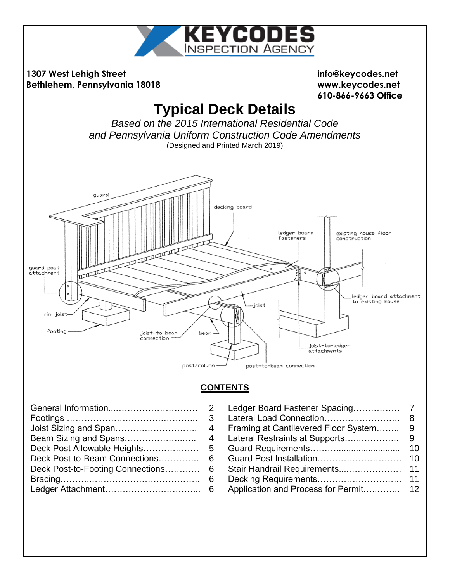

| Joist Sizing and Span            |
|----------------------------------|
| Beam Sizing and Spans            |
| Deck Post Allowable Heights      |
| Deck Post-to-Beam Connections    |
| Deck Post-to-Footing Connections |
|                                  |
|                                  |
|                                  |

| Deck Post-to-Beam Connections 6    |  |
|------------------------------------|--|
| Deck Post-to-Footing Connections 6 |  |
|                                    |  |
|                                    |  |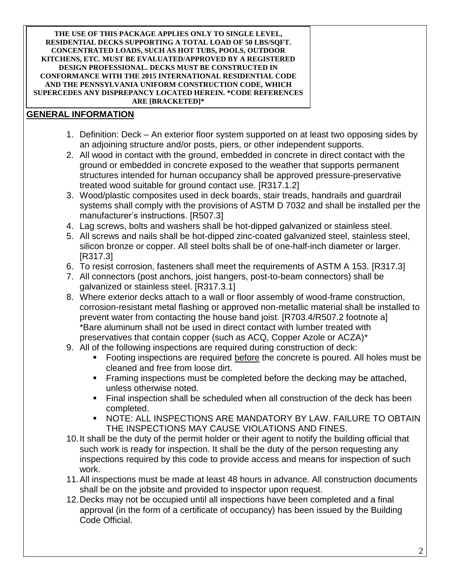#### **THE USE OF THIS PACKAGE APPLIES ONLY TO SINGLE LEVEL, RESIDENTIAL DECKS SUPPORTING A TOTAL LOAD OF 50 LBS/SQFT. CONCENTRATED LOADS, SUCH AS HOT TUBS, POOLS, OUTDOOR KITCHENS, ETC. MUST BE EVALUATED/APPROVED BY A REGISTERED DESIGN PROFESSIONAL. DECKS MUST BE CONSTRUCTED IN CONFORMANCE WITH THE 2015 INTERNATIONAL RESIDENTIAL CODE AND THE PENNSYLVANIA UNIFORM CONSTRUCTION CODE, WHICH SUPERCEDES ANY DISPREPANCY LOCATED HEREIN. \*CODE REFERENCES ARE [BRACKETED]\***

#### **GENERAL INFORMATION**

- 1. Definition: Deck An exterior floor system supported on at least two opposing sides by an adjoining structure and/or posts, piers, or other independent supports.
- 2. All wood in contact with the ground, embedded in concrete in direct contact with the ground or embedded in concrete exposed to the weather that supports permanent structures intended for human occupancy shall be approved pressure-preservative treated wood suitable for ground contact use. [R317.1.2]
- 3. Wood/plastic composites used in deck boards, stair treads, handrails and guardrail systems shall comply with the provisions of ASTM D 7032 and shall be installed per the manufacturer's instructions. [R507.3]
- 4. Lag screws, bolts and washers shall be hot-dipped galvanized or stainless steel.
- 5. All screws and nails shall be hot-dipped zinc-coated galvanized steel, stainless steel, silicon bronze or copper. All steel bolts shall be of one-half-inch diameter or larger. [R317.3]
- 6. To resist corrosion, fasteners shall meet the requirements of ASTM A 153. [R317.3]
- 7. All connectors (post anchors, joist hangers, post-to-beam connectors) shall be galvanized or stainless steel. [R317.3.1]
- 8. Where exterior decks attach to a wall or floor assembly of wood-frame construction, corrosion-resistant metal flashing or approved non-metallic material shall be installed to prevent water from contacting the house band joist. [R703.4/R507.2 footnote a] \*Bare aluminum shall not be used in direct contact with lumber treated with preservatives that contain copper (such as ACQ, Copper Azole or ACZA)\*
- 9. All of the following inspections are required during construction of deck:
	- Footing inspections are required before the concrete is poured. All holes must be cleaned and free from loose dirt.
	- Framing inspections must be completed before the decking may be attached, unless otherwise noted.
	- Final inspection shall be scheduled when all construction of the deck has been completed.
	- NOTE: ALL INSPECTIONS ARE MANDATORY BY LAW. FAILURE TO OBTAIN THE INSPECTIONS MAY CAUSE VIOLATIONS AND FINES.
- 10.It shall be the duty of the permit holder or their agent to notify the building official that such work is ready for inspection. It shall be the duty of the person requesting any inspections required by this code to provide access and means for inspection of such work.
- 11.All inspections must be made at least 48 hours in advance. All construction documents shall be on the jobsite and provided to inspector upon request.
- 12.Decks may not be occupied until all inspections have been completed and a final approval (in the form of a certificate of occupancy) has been issued by the Building Code Official.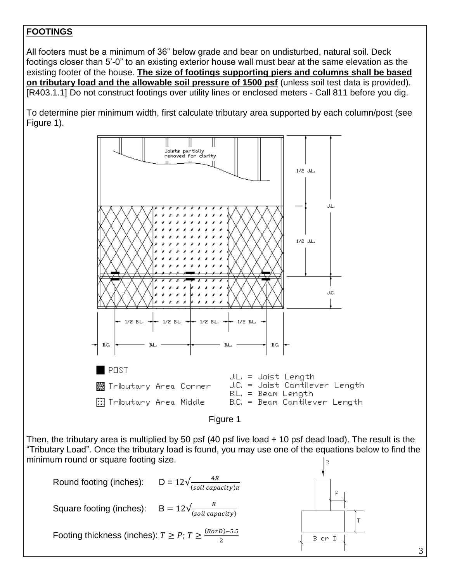## **FOOTINGS**

All footers must be a minimum of 36" below grade and bear on undisturbed, natural soil. Deck footings closer than 5'-0" to an existing exterior house wall must bear at the same elevation as the existing footer of the house. **The size of footings supporting piers and columns shall be based on tributary load and the allowable soil pressure of 1500 psf** (unless soil test data is provided). [R403.1.1] Do not construct footings over utility lines or enclosed meters - Call 811 before you dig.

To determine pier minimum width, first calculate tributary area supported by each column/post (see Figure 1).



3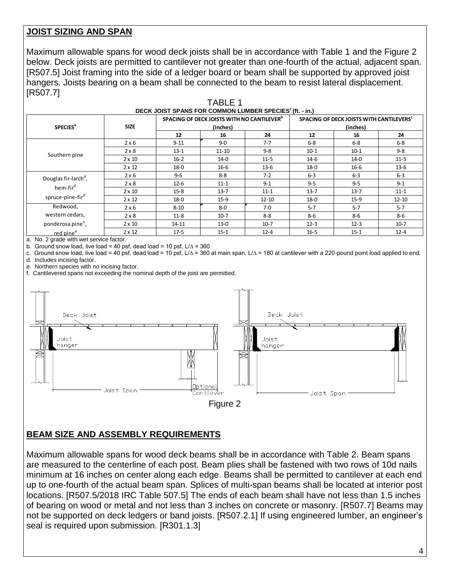#### **JOIST SIZING AND SPAN**

Maximum allowable spans for wood deck joists shall be in accordance with Table 1 and the Figure 2 below. Deck joists are permitted to cantilever not greater than one-fourth of the actual, adjacent span. [R507.5] Joist framing into the side of a ledger board or beam shall be supported by approved joist hangers. Joists bearing on a beam shall be connected to the beam to resist lateral displacement. [R507.7]

TARI<sub>F1</sub>

|                                  |               | DECK JOIST SPANS FOR COMMON LUMBER SPECIES <sup>f</sup> (ft. - in.) |                                                        |           |                                                                  |          |           |  |
|----------------------------------|---------------|---------------------------------------------------------------------|--------------------------------------------------------|-----------|------------------------------------------------------------------|----------|-----------|--|
|                                  |               |                                                                     | SPACING OF DECK JOISTS WITH NO CANTILEVER <sup>b</sup> |           | SPACING OF DECK JOISTS WITH CANTILEVERS <sup>C</sup><br>(inches) |          |           |  |
| <b>SPECIES<sup>a</sup></b>       | <b>SIZE</b>   |                                                                     | (inches)                                               |           |                                                                  |          |           |  |
|                                  |               | 12                                                                  | 16                                                     | 24        | 12                                                               | 16       | 24        |  |
|                                  | $2 \times 6$  | $9 - 11$                                                            | $9 - 0$                                                | $7 - 7$   | $6 - 8$                                                          | $6-8$    | $6 - 8$   |  |
| Southern pine                    | $2 \times 8$  | $13 - 1$                                                            | $11 - 10$                                              | $9 - 8$   | $10-1$                                                           | $10-1$   | $9 - 8$   |  |
|                                  | $2 \times 10$ | $16 - 2$                                                            | $14-0$                                                 | $11-5$    | $14-6$                                                           | $14-0$   | $11-5$    |  |
|                                  | $2 \times 12$ | $18 - 0$                                                            | $16-6$                                                 | $13-6$    | $18-0$                                                           | $16-6$   | $13-6$    |  |
| Douglas fir-larch <sup>d</sup> , | $2 \times 6$  | $9 - 6$                                                             | $8 - 8$                                                | $7 - 2$   | $6 - 3$                                                          | $6 - 3$  | $6 - 3$   |  |
| hem-fir <sup>d</sup>             | $2 \times 8$  | $12 - 6$                                                            | $11 - 1$                                               | $9 - 1$   | $9 - 5$                                                          | $9 - 5$  | $9 - 1$   |  |
|                                  | $2 \times 10$ | $15-8$                                                              | $13 - 7$                                               | $11 - 1$  | $13 - 7$                                                         | $13 - 7$ | $11 - 1$  |  |
| spruce-pine-fir <sup>d</sup>     | $2 \times 12$ | $18-0$                                                              | $15-9$                                                 | $12 - 10$ | $18-0$                                                           | $15-9$   | $12 - 10$ |  |
| Redwood,                         | $2 \times 6$  | $8 - 10$                                                            | $8-0$                                                  | $7-0$     | $5 - 7$                                                          | $5 - 7$  | $5 - 7$   |  |
| western cedars,                  | $2 \times 8$  | $11 - 8$                                                            | $10-7$                                                 | $8 - 8$   | $8 - 6$                                                          | $8 - 6$  | 8-6       |  |
| ponderosa pine <sup>e</sup> ,    | $2 \times 10$ | $14 - 11$                                                           | $13-0$                                                 | $10-7$    | $12 - 3$                                                         | $12 - 3$ | $10-7$    |  |
| red pine <sup>e</sup>            | $2 \times 12$ | $17-5$                                                              | $15 - 1$                                               | $12 - 4$  | $16 - 5$                                                         | $15 - 1$ | $12 - 4$  |  |

a. No. 2 grade with wet service factor.

b. Ground snow load, live load = 40 psf, dead load = 10 psf,  $L/\Delta$  = 360

c. Ground snow load, live load = 40 psf, dead load = 10 psf, L/∆ = 360 at main span, L/∆ = 180 at cantilever with a 220-pound point load applied to end. d. Includes incising factor.

e. Northern species with no incising factor.

f. Cantilevered spans not exceeding the nominal depth of the joist are permitted.



#### **BEAM SIZE AND ASSEMBLY REQUIREMENTS**

Maximum allowable spans for wood deck beams shall be in accordance with Table 2. Beam spans are measured to the centerline of each post. Beam plies shall be fastened with two rows of 10d nails minimum at 16 inches on center along each edge. Beams shall be permitted to cantilever at each end up to one-fourth of the actual beam span. Splices of multi-span beams shall be located at interior post locations. [R507.5/2018 IRC Table 507.5] The ends of each beam shall have not less than 1.5 inches of bearing on wood or metal and not less than 3 inches on concrete or masonry. [R507.7] Beams may not be supported on deck ledgers or band joists. [R507.2.1] If using engineered lumber, an engineer's seal is required upon submission. [R301.1.3]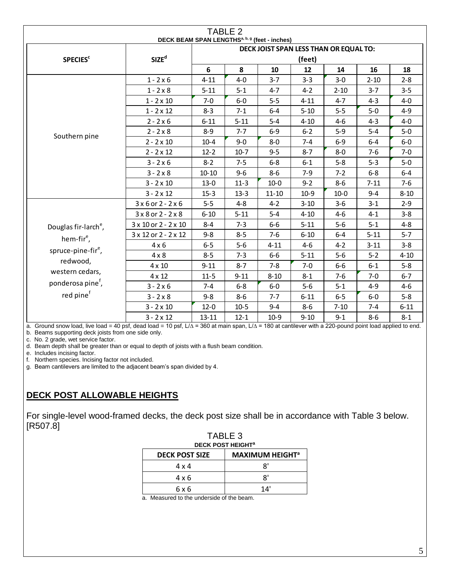| TABLE 2                          |                                  |                                                                                                     |          |           |          |          |          |          |
|----------------------------------|----------------------------------|-----------------------------------------------------------------------------------------------------|----------|-----------|----------|----------|----------|----------|
|                                  |                                  | DECK BEAM SPAN LENGTHS <sup>a, b, g</sup> (feet - inches)<br>DECK JOIST SPAN LESS THAN OR EQUAL TO: |          |           |          |          |          |          |
| <b>SPECIES<sup>c</sup></b>       | SIZE <sup>d</sup>                | (feet)                                                                                              |          |           |          |          |          |          |
|                                  |                                  | 6                                                                                                   | 8        | 10        | 12       | 14       | 16       | 18       |
|                                  | $1 - 2 \times 6$                 | $4 - 11$                                                                                            | $4 - 0$  | $3 - 7$   | $3 - 3$  | $3 - 0$  | $2 - 10$ | $2 - 8$  |
|                                  | $1 - 2 \times 8$                 | $5 - 11$                                                                                            | $5 - 1$  | $4 - 7$   | $4 - 2$  | $2 - 10$ | $3 - 7$  | $3 - 5$  |
|                                  | $1 - 2 \times 10$                | $7 - 0$                                                                                             | $6-0$    | $5 - 5$   | $4 - 11$ | $4 - 7$  | $4 - 3$  | $4-0$    |
|                                  | $1 - 2 \times 12$                | $8 - 3$                                                                                             | $7 - 1$  | $6-4$     | $5 - 10$ | $5 - 5$  | $5-0$    | $4 - 9$  |
|                                  | $2 - 2 \times 6$                 | $6 - 11$                                                                                            | $5 - 11$ | $5-4$     | $4 - 10$ | $4 - 6$  | $4 - 3$  | $4 - 0$  |
|                                  | $2 - 2 \times 8$                 | $8 - 9$                                                                                             | $7 - 7$  | $6 - 9$   | $6 - 2$  | $5 - 9$  | $5 - 4$  | $5-0$    |
| Southern pine                    | $2 - 2 \times 10$                | $10 - 4$                                                                                            | $9 - 0$  | $8-0$     | $7 - 4$  | $6 - 9$  | $6 - 4$  | $6-0$    |
|                                  | $2 - 2 \times 12$                | $12 - 2$                                                                                            | $10-7$   | $9 - 5$   | $8 - 7$  | $8-0$    | $7-6$    | $7 - 0$  |
|                                  | $3 - 2 \times 6$                 | $8 - 2$                                                                                             | $7 - 5$  | $6 - 8$   | $6 - 1$  | $5 - 8$  | $5 - 3$  | $5-0$    |
|                                  | $3 - 2 \times 8$                 | $10 - 10$                                                                                           | $9 - 6$  | $8 - 6$   | $7-9$    | $7 - 2$  | $6 - 8$  | $6-4$    |
|                                  | $3 - 2 \times 10$                | $13 - 0$                                                                                            | $11-3$   | $10-0$    | $9 - 2$  | $8-6$    | $7 - 11$ | $7-6$    |
|                                  | $3 - 2 \times 12$                | $15-3$                                                                                              | $13 - 3$ | $11 - 10$ | $10-9$   | $10 - 0$ | $9 - 4$  | $8 - 10$ |
|                                  | $3x6$ or $2 - 2x6$               | $5 - 5$                                                                                             | $4 - 8$  | $4 - 2$   | $3 - 10$ | $3 - 6$  | $3 - 1$  | $2 - 9$  |
|                                  | $3 \times 8$ or $2 - 2 \times 8$ | $6 - 10$                                                                                            | $5 - 11$ | $5 - 4$   | $4 - 10$ | $4 - 6$  | $4 - 1$  | $3 - 8$  |
| Douglas fir-larch <sup>e</sup> , | 3 x 10 or 2 - 2 x 10             | $8 - 4$                                                                                             | $7 - 3$  | $6-6$     | $5 - 11$ | $5 - 6$  | $5 - 1$  | $4 - 8$  |
| hem-fir <sup>e</sup> ,           | 3 x 12 or 2 - 2 x 12             | $9 - 8$                                                                                             | $8 - 5$  | $7-6$     | $6 - 10$ | $6-4$    | $5 - 11$ | $5 - 7$  |
|                                  | $4 \times 6$                     | $6 - 5$                                                                                             | $5-6$    | $4 - 11$  | 4-6      | $4 - 2$  | $3 - 11$ | $3 - 8$  |
| spruce-pine-fir <sup>e</sup> ,   | $4 \times 8$                     | $8 - 5$                                                                                             | $7 - 3$  | $6-6$     | $5 - 11$ | $5-6$    | $5 - 2$  | $4 - 10$ |
| redwood,                         | $4 \times 10$                    | $9 - 11$                                                                                            | $8 - 7$  | $7 - 8$   | $7-0$    | $6-6$    | $6 - 1$  | $5 - 8$  |
| western cedars,                  | $4 \times 12$                    | $11 - 5$                                                                                            | $9 - 11$ | $8 - 10$  | $8 - 1$  | $7-6$    | $7 - 0$  | $6 - 7$  |
| ponderosa pine <sup>f</sup> ,    | $3 - 2 \times 6$                 | $7 - 4$                                                                                             | $6 - 8$  | $6-0$     | $5 - 6$  | $5 - 1$  | $4 - 9$  | $4 - 6$  |
| red pine <sup>f</sup>            | $3 - 2 \times 8$                 | $9 - 8$                                                                                             | $8-6$    | $7 - 7$   | $6 - 11$ | $6 - 5$  | $6-0$    | $5 - 8$  |
|                                  | $3 - 2 \times 10$                | $12 - 0$                                                                                            | $10 - 5$ | $9 - 4$   | $8-6$    | $7 - 10$ | $7 - 4$  | $6 - 11$ |
|                                  | $3 - 2 \times 12$                | $13 - 11$                                                                                           | $12 - 1$ | $10-9$    | $9 - 10$ | $9 - 1$  | 8-6      | $8 - 1$  |

a. Ground snow load, live load = 40 psf, dead load = 10 psf, L/∆ = 360 at main span, L/∆ = 180 at cantilever with a 220-pound point load applied to end. b. Beams supporting deck joists from one side only.

c. No. 2 grade, wet service factor.

d. Beam depth shall be greater than or equal to depth of joists with a flush beam condition.

e. Includes incising factor.

f. Northern species. Incising factor not included.

g. Beam cantilevers are limited to the adjacent beam's span divided by 4.

# **DECK POST ALLOWABLE HEIGHTS**

For single-level wood-framed decks, the deck post size shall be in accordance with Table 3 below. [R507.8] TABLE 3

| TABLE 3<br><b>DECK POST HEIGHT<sup>a</sup></b> |                                   |  |  |  |  |
|------------------------------------------------|-----------------------------------|--|--|--|--|
| <b>DECK POST SIZE</b>                          | <b>MAXIMUM HEIGHT<sup>a</sup></b> |  |  |  |  |
| 4 x 4                                          | יפ                                |  |  |  |  |
| 4 x 6                                          | R'                                |  |  |  |  |
| 6 x 6                                          | 14'                               |  |  |  |  |

a. Measured to the underside of the beam.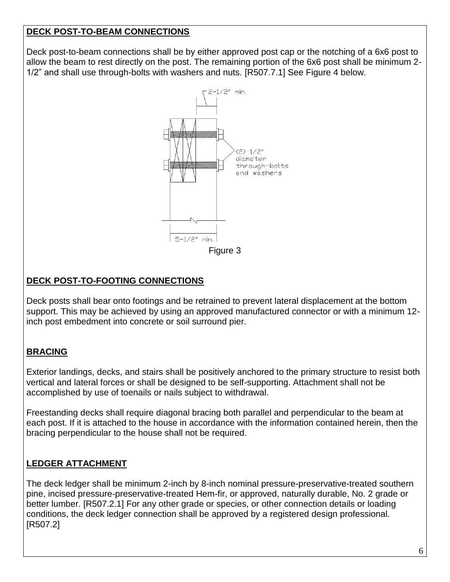#### **DECK POST-TO-BEAM CONNECTIONS**

Deck post-to-beam connections shall be by either approved post cap or the notching of a 6x6 post to allow the beam to rest directly on the post. The remaining portion of the 6x6 post shall be minimum 2- 1/2" and shall use through-bolts with washers and nuts. [R507.7.1] See Figure 4 below.



#### **DECK POST-TO-FOOTING CONNECTIONS**

Deck posts shall bear onto footings and be retrained to prevent lateral displacement at the bottom support. This may be achieved by using an approved manufactured connector or with a minimum 12 inch post embedment into concrete or soil surround pier.

## **BRACING**

Exterior landings, decks, and stairs shall be positively anchored to the primary structure to resist both vertical and lateral forces or shall be designed to be self-supporting. Attachment shall not be accomplished by use of toenails or nails subject to withdrawal.

Freestanding decks shall require diagonal bracing both parallel and perpendicular to the beam at each post. If it is attached to the house in accordance with the information contained herein, then the bracing perpendicular to the house shall not be required.

#### **LEDGER ATTACHMENT**

The deck ledger shall be minimum 2-inch by 8-inch nominal pressure-preservative-treated southern pine, incised pressure-preservative-treated Hem-fir, or approved, naturally durable, No. 2 grade or better lumber. [R507.2.1] For any other grade or species, or other connection details or loading conditions, the deck ledger connection shall be approved by a registered design professional. [R507.2]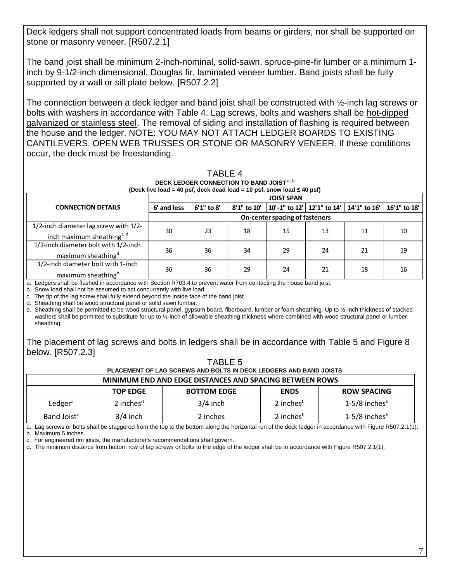Deck ledgers shall not support concentrated loads from beams or girders, nor shall be supported on stone or masonry veneer. [R507.2.1]

The band joist shall be minimum 2-inch-nominal, solid-sawn, spruce-pine-fir lumber or a minimum 1 inch by 9-1/2-inch dimensional, Douglas fir, laminated veneer lumber. Band joists shall be fully supported by a wall or sill plate below. [R507.2.2]

The connection between a deck ledger and band joist shall be constructed with ½-inch lag screws or bolts with washers in accordance with Table 4. Lag screws, bolts and washers shall be hot-dipped galvanized or stainless steel. The removal of siding and installation of flashing is required between the house and the ledger. NOTE: YOU MAY NOT ATTACH LEDGER BOARDS TO EXISTING CANTILEVERS, OPEN WEB TRUSSES OR STONE OR MASONRY VENEER. If these conditions occur, the deck must be freestanding.

|                                                                                                                      |             |                                |             | DECK LEDGER CONNECTION TO BAND JOIST <sup>a, b</sup><br>(Deck live load = 40 psf, deck dead load = 10 psf, snow load $\leq 40$ psf) |    |              |              |  |  |
|----------------------------------------------------------------------------------------------------------------------|-------------|--------------------------------|-------------|-------------------------------------------------------------------------------------------------------------------------------------|----|--------------|--------------|--|--|
|                                                                                                                      |             |                                |             | <b>JOIST SPAN</b>                                                                                                                   |    |              |              |  |  |
| <b>CONNECTION DETAILS</b>                                                                                            | 6' and less | 6'1" to 8'                     | 8'1" to 10' | 10'-1" to 12'   12'1" to 14'                                                                                                        |    | 14'1" to 16' | 16'1" to 18' |  |  |
|                                                                                                                      |             | On-center spacing of fasteners |             |                                                                                                                                     |    |              |              |  |  |
| 1/2-inch diameter lag screw with 1/2-<br>inch maximum sheathing <sup>c, d</sup>                                      | 30          | 23                             | 18          | 15                                                                                                                                  | 13 | 11           | 10           |  |  |
| 1/2-inch diameter bolt with 1/2-inch<br>maximum sheathing <sup>d</sup>                                               | 36          | 36                             | 34          | 29                                                                                                                                  | 24 | 21           | 19           |  |  |
| 1/2-inch diameter bolt with 1-inch<br>maximum sheathing <sup>e</sup>                                                 | 36          | 36                             | 29          | 24                                                                                                                                  | 21 | 18           | 16           |  |  |
| a. Ledgers shall be flashed in accordance with Section R703.4 to prevent water from contacting the house band joist. |             |                                |             |                                                                                                                                     |    |              |              |  |  |

b. Snow load shall not be assumed to act concurrently with live load.

c. The tip of the lag screw shall fully extend beyond the inside face of the band joist.

d. Sheathing shall be wood structural panel or solid sawn lumber.

e. Sheathing shall be permitted to be wood structural panel, gypsum board, fiberboard, lumber or foam sheathing. Up to ½-inch thickness of stacked washers shall be permitted to substitute for up to 1/2-inch of allowable sheathing thickness where combined with wood structural panel or lumber sheathing.

The placement of lag screws and bolts in ledgers shall be in accordance with Table 5 and Figure 8 below. [R507.2.3]

|                                                                                                                                     |                 | TABLE 5            |                       |                             |  |  |  |
|-------------------------------------------------------------------------------------------------------------------------------------|-----------------|--------------------|-----------------------|-----------------------------|--|--|--|
| PLACEMENT OF LAG SCREWS AND BOLTS IN DECK LEDGERS AND BAND JOISTS<br><b>MINIMUM END AND EDGE DISTANCES AND SPACING BETWEEN ROWS</b> |                 |                    |                       |                             |  |  |  |
|                                                                                                                                     | <b>TOP EDGE</b> | <b>BOTTOM EDGE</b> | <b>ENDS</b>           | <b>ROW SPACING</b>          |  |  |  |
| Ledger <sup>a</sup>                                                                                                                 | 2 inches $d$    | $3/4$ inch         | 2 inches <sup>b</sup> | $1-5/8$ inches <sup>b</sup> |  |  |  |
| Band Joist <sup>c</sup>                                                                                                             | $3/4$ inch      | 2 inches           | 2 inches <sup>b</sup> | $1-5/8$ inches <sup>b</sup> |  |  |  |

a. Lag screws or bolts shall be staggered from the top to the bottom along the horizontal run of the deck ledger in accordance with Figure R507.2.1(1).

b. Maximum 5 inches.

c. For engineered rim joists, the manufacturer's recommendations shall govern.

d. The minimum distance from bottom row of lag screws or bolts to the edge of the ledger shall be in accordance with Figure R507.2.1(1).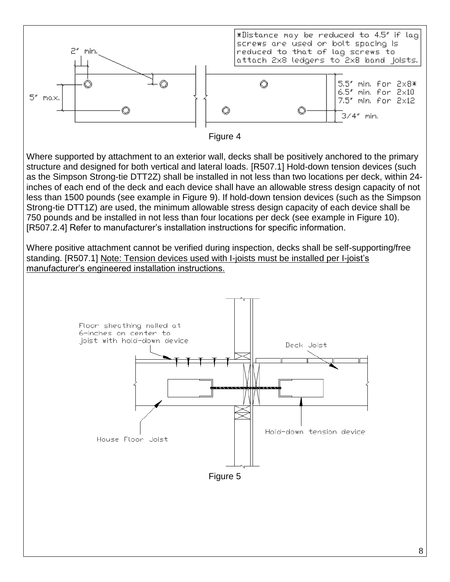

8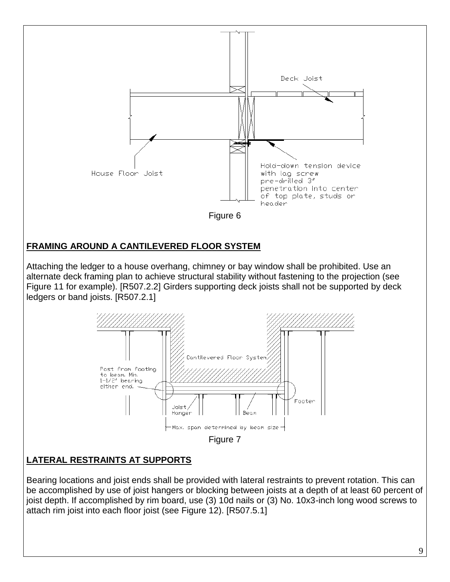

9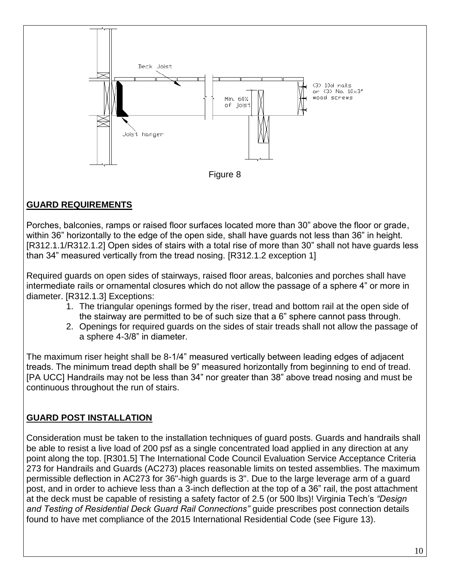

## **GUARD REQUIREMENTS**

Porches, balconies, ramps or raised floor surfaces located more than 30" above the floor or grade, within 36" horizontally to the edge of the open side, shall have guards not less than 36" in height. [R312.1.1/R312.1.2] Open sides of stairs with a total rise of more than 30" shall not have guards less than 34" measured vertically from the tread nosing. [R312.1.2 exception 1]

Required guards on open sides of stairways, raised floor areas, balconies and porches shall have intermediate rails or ornamental closures which do not allow the passage of a sphere 4" or more in diameter. [R312.1.3] Exceptions:

- 1. The triangular openings formed by the riser, tread and bottom rail at the open side of the stairway are permitted to be of such size that a 6" sphere cannot pass through.
- 2. Openings for required guards on the sides of stair treads shall not allow the passage of a sphere 4-3/8" in diameter.

The maximum riser height shall be 8-1/4" measured vertically between leading edges of adjacent treads. The minimum tread depth shall be 9" measured horizontally from beginning to end of tread. [PA UCC] Handrails may not be less than 34" nor greater than 38" above tread nosing and must be continuous throughout the run of stairs.

## **GUARD POST INSTALLATION**

Consideration must be taken to the installation techniques of guard posts. Guards and handrails shall be able to resist a live load of 200 psf as a single concentrated load applied in any direction at any point along the top. [R301.5] The International Code Council Evaluation Service Acceptance Criteria 273 for Handrails and Guards (AC273) places reasonable limits on tested assemblies. The maximum permissible deflection in AC273 for 36"-high guards is 3". Due to the large leverage arm of a guard post, and in order to achieve less than a 3-inch deflection at the top of a 36" rail, the post attachment at the deck must be capable of resisting a safety factor of 2.5 (or 500 lbs)! Virginia Tech's *"Design and Testing of Residential Deck Guard Rail Connections"* guide prescribes post connection details found to have met compliance of the 2015 International Residential Code (see Figure 13).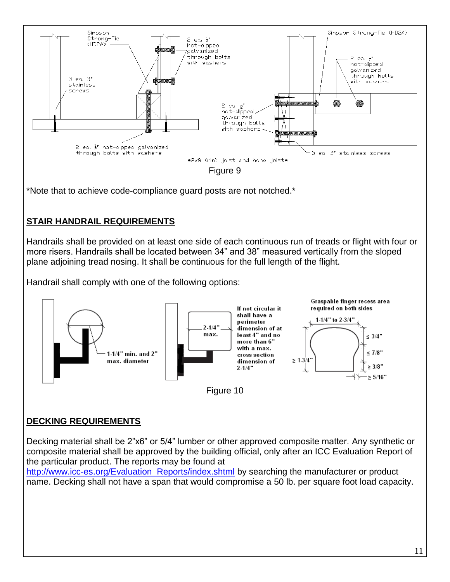

\*Note that to achieve code-compliance guard posts are not notched.\*

# **STAIR HANDRAIL REQUIREMENTS**

Handrails shall be provided on at least one side of each continuous run of treads or flight with four or more risers. Handrails shall be located between 34" and 38" measured vertically from the sloped plane adjoining tread nosing. It shall be continuous for the full length of the flight.

Handrail shall comply with one of the following options:



## **DECKING REQUIREMENTS**

Decking material shall be 2"x6" or 5/4" lumber or other approved composite matter. Any synthetic or composite material shall be approved by the building official, only after an ICC Evaluation Report of the particular product. The reports may be found at

[http://www.icc-es.org/Evaluation\\_Reports/index.shtml](http://www.icc-es.org/Evaluation_Reports/index.shtml) by searching the manufacturer or product name. Decking shall not have a span that would compromise a 50 lb. per square foot load capacity.